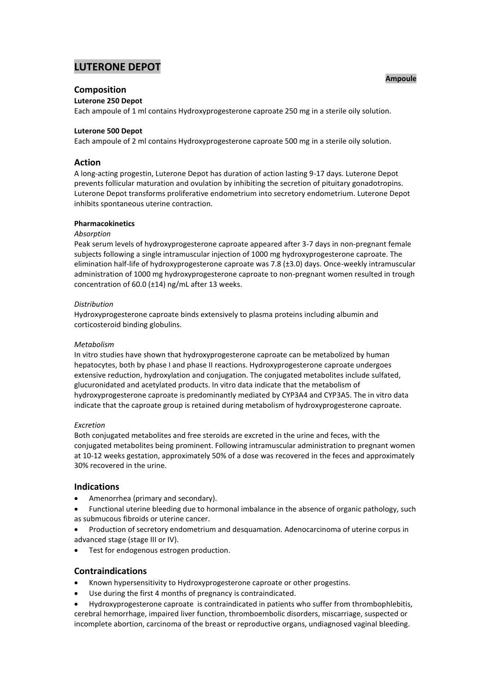# **LUTERONE DEPOT**

# **Composition**

# **Luterone 250 Depot**

Each ampoule of 1 ml contains Hydroxyprogesterone caproate 250 mg in a sterile oily solution.

# **Luterone 500 Depot**

Each ampoule of 2 ml contains Hydroxyprogesterone caproate 500 mg in a sterile oily solution.

# **Action**

A long-acting progestin, Luterone Depot has duration of action lasting 9-17 days. Luterone Depot prevents follicular maturation and ovulation by inhibiting the secretion of pituitary gonadotropins. Luterone Depot transforms proliferative endometrium into secretory endometrium. Luterone Depot inhibits spontaneous uterine contraction.

#### **Pharmacokinetics**

# *Absorption*

Peak serum levels of hydroxyprogesterone caproate appeared after 3-7 days in non-pregnant female subjects following a single intramuscular injection of 1000 mg hydroxyprogesterone caproate. The elimination half-life of hydroxyprogesterone caproate was 7.8 (±3.0) days. Once-weekly intramuscular administration of 1000 mg hydroxyprogesterone caproate to non-pregnant women resulted in trough concentration of 60.0 (±14) ng/mL after 13 weeks.

## *Distribution*

Hydroxyprogesterone caproate binds extensively to plasma proteins including albumin and corticosteroid binding globulins.

#### *Metabolism*

In vitro studies have shown that hydroxyprogesterone caproate can be metabolized by human hepatocytes, both by phase I and phase II reactions. Hydroxyprogesterone caproate undergoes extensive reduction, hydroxylation and conjugation. The conjugated metabolites include sulfated, glucuronidated and acetylated products. In vitro data indicate that the metabolism of hydroxyprogesterone caproate is predominantly mediated by CYP3A4 and CYP3A5. The in vitro data indicate that the caproate group is retained during metabolism of hydroxyprogesterone caproate.

#### *Excretion*

Both conjugated metabolites and free steroids are excreted in the urine and feces, with the conjugated metabolites being prominent. Following intramuscular administration to pregnant women at 10-12 weeks gestation, approximately 50% of a dose was recovered in the feces and approximately 30% recovered in the urine.

# **Indications**

- Amenorrhea (primary and secondary).
- Functional uterine bleeding due to hormonal imbalance in the absence of organic pathology, such as submucous fibroids or uterine cancer.
- Production of secretory endometrium and desquamation. Adenocarcinoma of uterine corpus in advanced stage (stage III or IV).
- Test for endogenous estrogen production.

# **Contraindications**

- Known hypersensitivity to Hydroxyprogesterone caproate or other progestins.
- Use during the first 4 months of pregnancy is contraindicated.
- Hydroxyprogesterone caproate is contraindicated in patients who suffer from thrombophlebitis, cerebral hemorrhage, impaired liver function, thromboembolic disorders, miscarriage, suspected or incomplete abortion, carcinoma of the breast or reproductive organs, undiagnosed vaginal bleeding.

#### **Ampoule**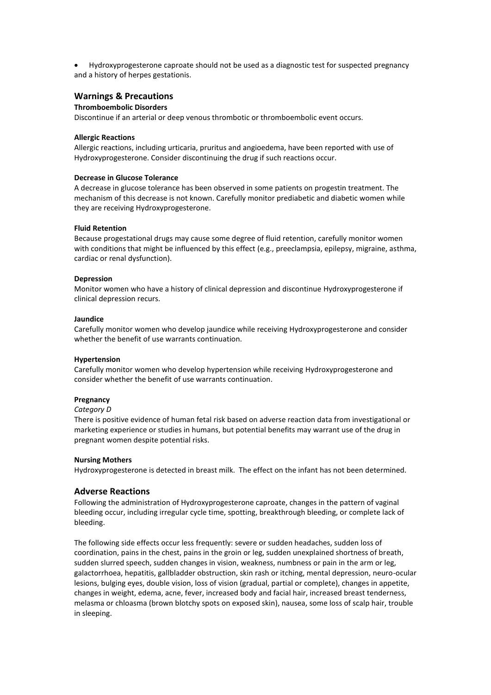Hydroxyprogesterone caproate should not be used as a diagnostic test for suspected pregnancy and a history of herpes gestationis.

# **Warnings & Precautions**

## **Thromboembolic Disorders**

Discontinue if an arterial or deep venous thrombotic or thromboembolic event occurs.

#### **Allergic Reactions**

Allergic reactions, including urticaria, pruritus and angioedema, have been reported with use of Hydroxyprogesterone. Consider discontinuing the drug if such reactions occur.

#### **Decrease in Glucose Tolerance**

A decrease in glucose tolerance has been observed in some patients on progestin treatment. The mechanism of this decrease is not known. Carefully monitor prediabetic and diabetic women while they are receiving Hydroxyprogesterone.

#### **Fluid Retention**

Because progestational drugs may cause some degree of fluid retention, carefully monitor women with conditions that might be influenced by this effect (e.g., preeclampsia, epilepsy, migraine, asthma, cardiac or renal dysfunction).

#### **Depression**

Monitor women who have a history of clinical depression and discontinue Hydroxyprogesterone if clinical depression recurs.

#### **Jaundice**

Carefully monitor women who develop jaundice while receiving Hydroxyprogesterone and consider whether the benefit of use warrants continuation.

#### **Hypertension**

Carefully monitor women who develop hypertension while receiving Hydroxyprogesterone and consider whether the benefit of use warrants continuation.

#### **Pregnancy**

#### *Category D*

There is positive evidence of human fetal risk based on adverse reaction data from investigational or marketing experience or studies in humans, but potential benefits may warrant use of the drug in pregnant women despite potential risks.

#### **Nursing Mothers**

Hydroxyprogesterone is detected in breast milk. The effect on the infant has not been determined.

# **Adverse Reactions**

Following the administration of Hydroxyprogesterone caproate, changes in the pattern of vaginal bleeding occur, including irregular cycle time, spotting, breakthrough bleeding, or complete lack of bleeding.

The following side effects occur less frequently: severe or sudden headaches, sudden loss of coordination, pains in the chest, pains in the groin or leg, sudden unexplained shortness of breath, sudden slurred speech, sudden changes in vision, weakness, numbness or pain in the arm or leg, galactorrhoea, hepatitis, gallbladder obstruction, skin rash or itching, mental depression, neuro-ocular lesions, bulging eyes, double vision, loss of vision (gradual, partial or complete), changes in appetite, changes in weight, edema, acne, fever, increased body and facial hair, increased breast tenderness, melasma or chloasma (brown blotchy spots on exposed skin), nausea, some loss of scalp hair, trouble in sleeping.